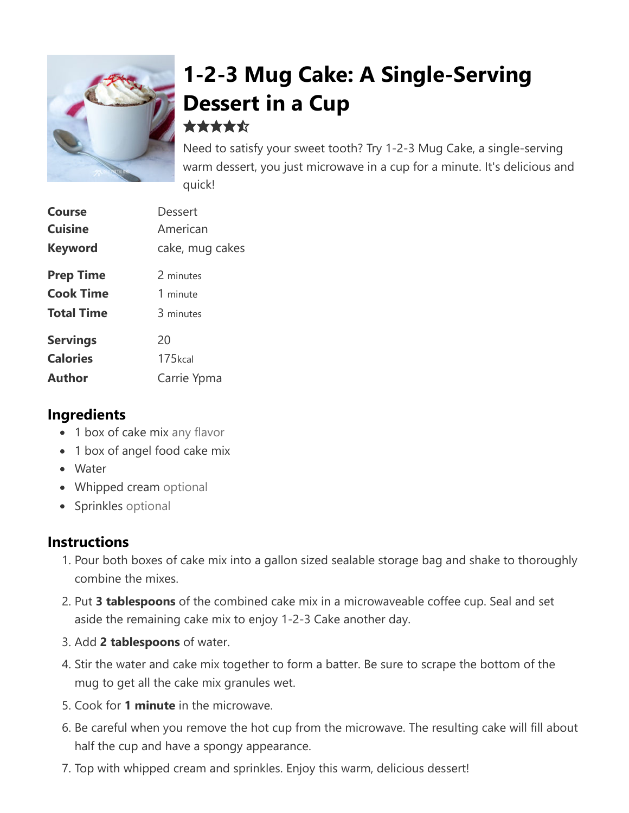

# **1-2-3 Mug Cake: A Single-Serving Dessert in a Cup** \*\*\*\*\*

Need to satisfy your sweet tooth? Try 1-2-3 Mug Cake, a single-serving warm dessert, you just microwave in a cup for a minute. It's delicious and quick!

| Dessert         |
|-----------------|
| American        |
| cake, mug cakes |
| 2 minutes       |
| 1 minute        |
| 3 minutes       |
| 20              |
| 175kcal         |
| Carrie Ypma     |
|                 |

### **Ingredients**

- 1 box of cake mix any flavor
- 1 box of angel food cake mix
- Water
- Whipped cream optional
- Sprinkles optional

#### **Instructions**

- 1. Pour both boxes of cake mix into a gallon sized sealable storage bag and shake to thoroughly combine the mixes.
- 2. Put **3 tablespoons** of the combined cake mix in a microwaveable coffee cup. Seal and set aside the remaining cake mix to enjoy 1-2-3 Cake another day.
- 3. Add **2 tablespoons** of water.
- 4. Stir the water and cake mix together to form a batter. Be sure to scrape the bottom of the mug to get all the cake mix granules wet.
- 5. Cook for **1 minute** in the microwave.
- 6. Be careful when you remove the hot cup from the microwave. The resulting cake will fill about half the cup and have a spongy appearance.
- 7. Top with whipped cream and sprinkles. Enjoy this warm, delicious dessert!